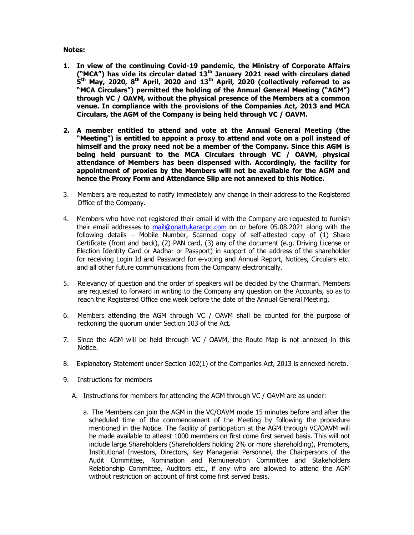## Notes:

- 1. In view of the continuing Covid-19 pandemic, the Ministry of Corporate Affairs ("MCA") has vide its circular dated  $13<sup>th</sup>$  January 2021 read with circulars dated  $\tilde{\bm S}^{\text{th}}$  May, 2020, 8<sup>th</sup> April, 2020 and 13<sup>th</sup> April, 2020 (collectively referred to as "MCA Circulars") permitted the holding of the Annual General Meeting ("AGM") through VC / OAVM, without the physical presence of the Members at a common venue. In compliance with the provisions of the Companies Act, 2013 and MCA Circulars, the AGM of the Company is being held through VC / OAVM.
- 2. A member entitled to attend and vote at the Annual General Meeting (the "Meeting") is entitled to appoint a proxy to attend and vote on a poll instead of himself and the proxy need not be a member of the Company. Since this AGM is being held pursuant to the MCA Circulars through VC / OAVM, physical attendance of Members has been dispensed with. Accordingly, the facility for appointment of proxies by the Members will not be available for the AGM and hence the Proxy Form and Attendance Slip are not annexed to this Notice.
- 3. Members are requested to notify immediately any change in their address to the Registered Office of the Company.
- 4. Members who have not registered their email id with the Company are requested to furnish their email addresses to mail@onattukaracpc.com on or before 05.08.2021 along with the following details – Mobile Number, Scanned copy of self-attested copy of (1) Share Certificate (front and back), (2) PAN card, (3) any of the document (e.g. Driving License or Election Identity Card or Aadhar or Passport) in support of the address of the shareholder for receiving Login Id and Password for e-voting and Annual Report, Notices, Circulars etc. and all other future communications from the Company electronically.
- 5. Relevancy of question and the order of speakers will be decided by the Chairman. Members are requested to forward in writing to the Company any question on the Accounts, so as to reach the Registered Office one week before the date of the Annual General Meeting.
- 6. Members attending the AGM through VC / OAVM shall be counted for the purpose of reckoning the quorum under Section 103 of the Act.
- 7. Since the AGM will be held through VC / OAVM, the Route Map is not annexed in this Notice.
- 8. Explanatory Statement under Section 102(1) of the Companies Act, 2013 is annexed hereto.
- 9. Instructions for members
	- A. Instructions for members for attending the AGM through VC / OAVM are as under:
		- a. The Members can join the AGM in the VC/OAVM mode 15 minutes before and after the scheduled time of the commencement of the Meeting by following the procedure mentioned in the Notice. The facility of participation at the AGM through VC/OAVM will be made available to atleast 1000 members on first come first served basis. This will not include large Shareholders (Shareholders holding 2% or more shareholding), Promoters, Institutional Investors, Directors, Key Managerial Personnel, the Chairpersons of the Audit Committee, Nomination and Remuneration Committee and Stakeholders Relationship Committee, Auditors etc., if any who are allowed to attend the AGM without restriction on account of first come first served basis.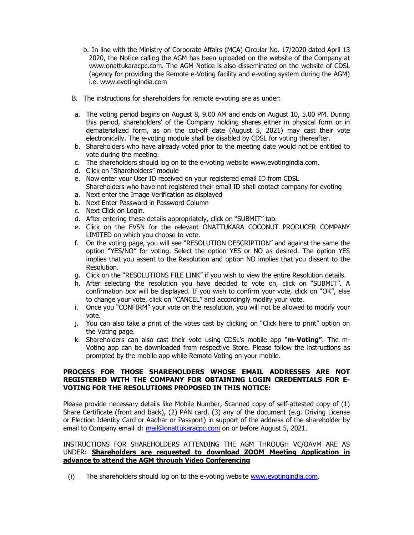- b. In line with the Ministry of Corporate Affairs (MCA) Circular No. 17/2020 dated April 13 2020, the Notice calling the AGM has been uploaded on the website of the Company at www.onattukaracpc.com. The AGM Notice is also disseminated on the website of CDSL (agency for providing the Remote e-Voting facility and e-voting system during the AGM) i.e. www.evotingindia.com
- B. The instructions for shareholders for remote e-voting are as under:
- a. The voting period begins on August 8, 9.00 AM and ends on August 10, 5.00 PM. During this period, shareholders' of the Company holding shares either in physical form or in dematerialized form, as on the cut-off date (August 5, 2021) may cast their vote electronically. The e-voting module shall be disabled by CDSL for voting thereafter.
- b. Shareholders who have already voted prior to the meeting date would not be entitled to vote during the meeting.
- c. The shareholders should log on to the e-voting website www.evotingindia.com.
- d. Click on "Shareholders" module
- e. Now enter your User ID received on your registered email ID from CDSL Shareholders who have not registered their email ID shall contact company for evoting
- a. Next enter the Image Verification as displayed
- b. Next Enter Password in Password Column
- c. Next Click on Login.
- d. After entering these details appropriately, click on "SUBMIT" tab.
- e. Click on the EVSN for the relevant ONATTUKARA COCONUT PRODUCER COMPANY LIMITED on which you choose to vote.
- f. On the voting page, you will see "RESOLUTION DESCRIPTION" and against the same the option "YES/NO" for voting. Select the option YES or NO as desired. The option YES implies that you assent to the Resolution and option NO implies that you dissent to the Resolution.
- g. Click on the "RESOLUTIONS FILE LINK" if you wish to view the entire Resolution details.
- h. After selecting the resolution you have decided to vote on, click on "SUBMIT". A confirmation box will be displayed. If you wish to confirm your vote, click on "OK", else to change your vote, click on "CANCEL" and accordingly modify your vote.
- i. Once you "CONFIRM" your vote on the resolution, you will not be allowed to modify your vote.
- j. You can also take a print of the votes cast by clicking on "Click here to print" option on the Voting page.
- k. Shareholders can also cast their vote using CDSL's mobile app "**m-Voting**". The m-Voting app can be downloaded from respective Store. Please follow the instructions as prompted by the mobile app while Remote Voting on your mobile.

# PROCESS FOR THOSE SHAREHOLDERS WHOSE EMAIL ADDRESSES ARE NOT REGISTERED WITH THE COMPANY FOR OBTAINING LOGIN CREDENTIALS FOR E-VOTING FOR THE RESOLUTIONS PROPOSED IN THIS NOTICE:

Please provide necessary details like Mobile Number, Scanned copy of self-attested copy of (1) Share Certificate (front and back), (2) PAN card, (3) any of the document (e.g. Driving License or Election Identity Card or Aadhar or Passport) in support of the address of the shareholder by email to Company email id: mail@onattukaracpc.com on or before August 5, 2021.

### INSTRUCTIONS FOR SHAREHOLDERS ATTENDING THE AGM THROUGH VC/OAVM ARE AS UNDER: Shareholders are requested to download ZOOM Meeting Application in advance to attend the AGM through Video Conferencing

(i) The shareholders should log on to the e-voting website www.evotingindia.com.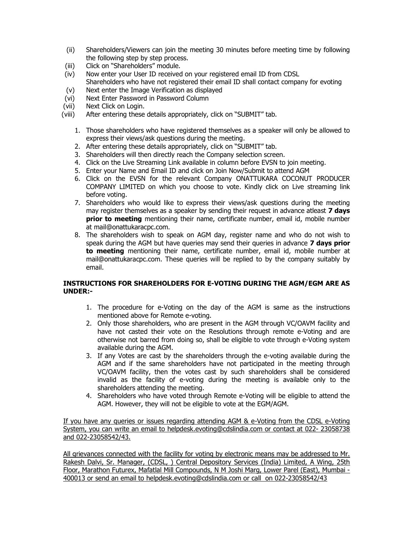- (ii) Shareholders/Viewers can join the meeting 30 minutes before meeting time by following the following step by step process.
- (iii) Click on "Shareholders" module.
- (iv) Now enter your User ID received on your registered email ID from CDSL Shareholders who have not registered their email ID shall contact company for evoting
- (v) Next enter the Image Verification as displayed
- (vi) Next Enter Password in Password Column
- (vii) Next Click on Login.
- (viii) After entering these details appropriately, click on "SUBMIT" tab.
	- 1. Those shareholders who have registered themselves as a speaker will only be allowed to express their views/ask questions during the meeting.
	- 2. After entering these details appropriately, click on "SUBMIT" tab.
	- 3. Shareholders will then directly reach the Company selection screen.
	- 4. Click on the Live Streaming Link available in column before EVSN to join meeting.
	- 5. Enter your Name and Email ID and click on Join Now/Submit to attend AGM
	- 6. Click on the EVSN for the relevant Company ONATTUKARA COCONUT PRODUCER COMPANY LIMITED on which you choose to vote. Kindly click on Live streaming link before voting.
	- 7. Shareholders who would like to express their views/ask questions during the meeting may register themselves as a speaker by sending their request in advance atleast  $\bar{z}$  days prior to meeting mentioning their name, certificate number, email id, mobile number at mail@onattukaracpc.com.
	- 8. The shareholders wish to speak on AGM day, register name and who do not wish to speak during the AGM but have queries may send their queries in advance 7 days prior to meeting mentioning their name, certificate number, email id, mobile number at mail@onattukaracpc.com. These queries will be replied to by the company suitably by email.

# INSTRUCTIONS FOR SHAREHOLDERS FOR E-VOTING DURING THE AGM/EGM ARE AS UNDER:-

- 1. The procedure for e-Voting on the day of the AGM is same as the instructions mentioned above for Remote e-voting.
- 2. Only those shareholders, who are present in the AGM through VC/OAVM facility and have not casted their vote on the Resolutions through remote e-Voting and are otherwise not barred from doing so, shall be eligible to vote through e-Voting system available during the AGM.
- 3. If any Votes are cast by the shareholders through the e-voting available during the AGM and if the same shareholders have not participated in the meeting through VC/OAVM facility, then the votes cast by such shareholders shall be considered invalid as the facility of e-voting during the meeting is available only to the shareholders attending the meeting.
- 4. Shareholders who have voted through Remote e-Voting will be eligible to attend the AGM. However, they will not be eligible to vote at the EGM/AGM.

If you have any queries or issues regarding attending AGM & e-Voting from the CDSL e-Voting System, you can write an email to helpdesk.evoting@cdslindia.com or contact at 022- 23058738 and 022-23058542/43.

All grievances connected with the facility for voting by electronic means may be addressed to Mr. Rakesh Dalvi, Sr. Manager, (CDSL, ) Central Depository Services (India) Limited, A Wing, 25th Floor, Marathon Futurex, Mafatlal Mill Compounds, N M Joshi Marg, Lower Parel (East), Mumbai - 400013 or send an email to helpdesk.evoting@cdslindia.com or call on 022-23058542/43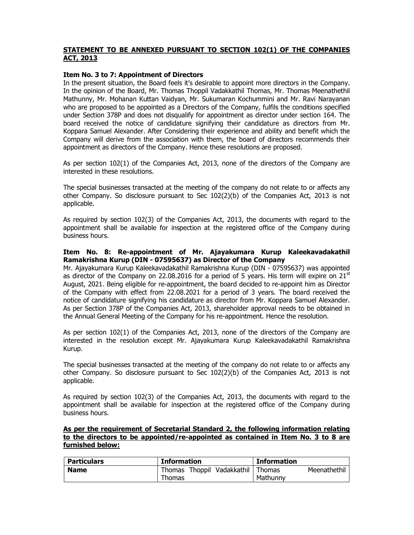# STATEMENT TO BE ANNEXED PURSUANT TO SECTION 102(1) OF THE COMPANIES ACT, 2013

#### Item No. 3 to 7: Appointment of Directors

In the present situation, the Board feels it's desirable to appoint more directors in the Company. In the opinion of the Board, Mr. Thomas Thoppil Vadakkathil Thomas, Mr. Thomas Meenathethil Mathunny, Mr. Mohanan Kuttan Vaidyan, Mr. Sukumaran Kochummini and Mr. Ravi Narayanan who are proposed to be appointed as a Directors of the Company, fulfils the conditions specified under Section 378P and does not disqualify for appointment as director under section 164. The board received the notice of candidature signifying their candidature as directors from Mr. Koppara Samuel Alexander. After Considering their experience and ability and benefit which the Company will derive from the association with them, the board of directors recommends their appointment as directors of the Company. Hence these resolutions are proposed.

As per section 102(1) of the Companies Act, 2013, none of the directors of the Company are interested in these resolutions.

The special businesses transacted at the meeting of the company do not relate to or affects any other Company. So disclosure pursuant to Sec 102(2)(b) of the Companies Act, 2013 is not applicable.

As required by section 102(3) of the Companies Act, 2013, the documents with regard to the appointment shall be available for inspection at the registered office of the Company during business hours.

## Item No. 8: Re-appointment of Mr. Ajayakumara Kurup Kaleekavadakathil Ramakrishna Kurup (DIN - 07595637) as Director of the Company

Mr. Ajayakumara Kurup Kaleekavadakathil Ramakrishna Kurup (DIN - 07595637) was appointed as director of the Company on 22.08.2016 for a period of 5 years. His term will expire on  $21<sup>st</sup>$ August, 2021. Being eligible for re-appointment, the board decided to re-appoint him as Director of the Company with effect from 22.08.2021 for a period of 3 years. The board received the notice of candidature signifying his candidature as director from Mr. Koppara Samuel Alexander. As per Section 378P of the Companies Act, 2013, shareholder approval needs to be obtained in the Annual General Meeting of the Company for his re-appointment. Hence the resolution.

As per section 102(1) of the Companies Act, 2013, none of the directors of the Company are interested in the resolution except Mr. Ajayakumara Kurup Kaleekavadakathil Ramakrishna Kurup.

The special businesses transacted at the meeting of the company do not relate to or affects any other Company. So disclosure pursuant to Sec 102(2)(b) of the Companies Act, 2013 is not applicable.

As required by section 102(3) of the Companies Act, 2013, the documents with regard to the appointment shall be available for inspection at the registered office of the Company during business hours.

#### As per the requirement of Secretarial Standard 2, the following information relating to the directors to be appointed/re-appointed as contained in Item No. 3 to 8 are furnished below:

| <b>Particulars</b> | <b>Information</b>         | <b>Information</b>     |
|--------------------|----------------------------|------------------------|
| <b>Name</b>        | Thomas Thoppil Vadakkathil | Thomas<br>Meenathethil |
|                    | Thomas                     | Mathunny               |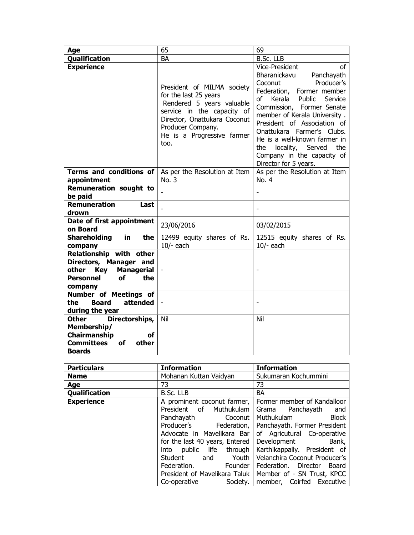| Age                                                                                                                                | 65                                                                                                                                                                                                        | 69                                                                                                                                                                                                                                                                                                                                                                                               |
|------------------------------------------------------------------------------------------------------------------------------------|-----------------------------------------------------------------------------------------------------------------------------------------------------------------------------------------------------------|--------------------------------------------------------------------------------------------------------------------------------------------------------------------------------------------------------------------------------------------------------------------------------------------------------------------------------------------------------------------------------------------------|
| Qualification                                                                                                                      | BA                                                                                                                                                                                                        | B.Sc. LLB                                                                                                                                                                                                                                                                                                                                                                                        |
| <b>Experience</b>                                                                                                                  | President of MILMA society<br>for the last 25 years<br>Rendered 5 years valuable<br>service in the capacity of<br>Director, Onattukara Coconut<br>Producer Company.<br>He is a Progressive farmer<br>too. | Vice-President<br>of<br>Bharanickavu<br>Panchayath<br>Producer's<br>Coconut<br>Federation, Former member<br>of<br>Kerala<br>Public<br>Service<br>Commission, Former Senate<br>member of Kerala University.<br>President of Association of<br>Onattukara Farmer's Clubs.<br>He is a well-known farmer in<br>locality, Served<br>the<br>the<br>Company in the capacity of<br>Director for 5 years. |
| Terms and conditions of<br>appointment                                                                                             | As per the Resolution at Item<br>No. 3                                                                                                                                                                    | As per the Resolution at Item<br>No. 4                                                                                                                                                                                                                                                                                                                                                           |
| <b>Remuneration sought to</b><br>be paid                                                                                           |                                                                                                                                                                                                           |                                                                                                                                                                                                                                                                                                                                                                                                  |
| <b>Remuneration</b><br>Last<br>drown                                                                                               |                                                                                                                                                                                                           |                                                                                                                                                                                                                                                                                                                                                                                                  |
| Date of first appointment<br>on Board                                                                                              | 23/06/2016                                                                                                                                                                                                | 03/02/2015                                                                                                                                                                                                                                                                                                                                                                                       |
| <b>Shareholding</b><br>in.<br>the<br>company                                                                                       | 12499 equity shares of Rs.<br>$10/-$ each                                                                                                                                                                 | 12515 equity shares of Rs.<br>$10/-$ each                                                                                                                                                                                                                                                                                                                                                        |
| Relationship with other<br>Directors, Manager and<br>other<br><b>Managerial</b><br>Key<br><b>of</b><br>the<br>Personnel<br>company |                                                                                                                                                                                                           |                                                                                                                                                                                                                                                                                                                                                                                                  |
| Number of Meetings of<br>attended<br>the<br><b>Board</b><br>during the year                                                        |                                                                                                                                                                                                           |                                                                                                                                                                                                                                                                                                                                                                                                  |
| <b>Other</b><br>Directorships,<br>Membership/<br>Chairmanship<br>οf<br><b>Committees</b><br>other<br>оf<br><b>Boards</b>           | Nil                                                                                                                                                                                                       | Nil                                                                                                                                                                                                                                                                                                                                                                                              |

| <b>Particulars</b> | <b>Information</b>                           | <b>Information</b>                                         |
|--------------------|----------------------------------------------|------------------------------------------------------------|
| <b>Name</b>        | Mohanan Kuttan Vaidyan                       | Sukumaran Kochummini                                       |
| Age                | 73                                           | 73                                                         |
| Qualification      | B.Sc. LLB                                    | <b>BA</b>                                                  |
| <b>Experience</b>  | A prominent coconut farmer,                  | Former member of Kandalloor                                |
|                    | President of Muthukulam                      | Grama Panchayath<br>and                                    |
|                    | Panchayath Coconut                           | <b>Block</b><br>Muthukulam                                 |
|                    |                                              | Producer's Federation,   Panchayath. Former President      |
|                    | Advocate in Mavelikara Bar I                 | of Agricutural Co-operative                                |
|                    | for the last 40 years, Entered   Development | Bank,                                                      |
|                    | into                                         | public life through Karthikappally. President of           |
|                    | Student                                      | and Youth   Velanchira Coconut Producer's                  |
|                    | Federation.<br>Founder                       | Federation. Director Board                                 |
|                    |                                              | President of Mavelikara Taluk   Member of - SN Trust, KPCC |
|                    | Co-operative                                 | Society.   member, Coirfed Executive                       |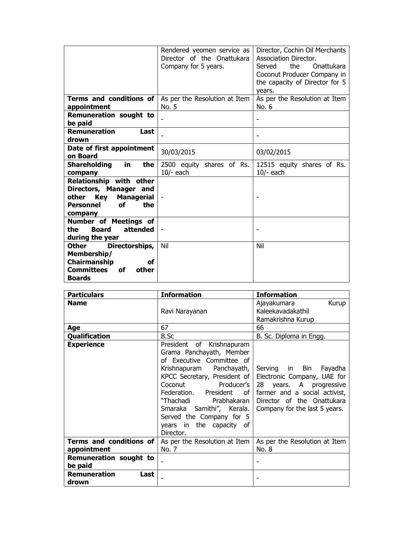|                                                                                                                                    | Rendered yeomen service as<br>Director of the Onattukara<br>Company for 5 years. | Director, Cochin Oil Merchants<br>Association Director.<br>the.<br>Onattukara<br>Served<br>Coconut Producer Company in<br>the capacity of Director for 5 |
|------------------------------------------------------------------------------------------------------------------------------------|----------------------------------------------------------------------------------|----------------------------------------------------------------------------------------------------------------------------------------------------------|
| Terms and conditions of<br>appointment                                                                                             | As per the Resolution at Item<br>No. 5                                           | vears.<br>As per the Resolution at Item<br>No. 6                                                                                                         |
| <b>Remuneration sought to</b><br>be paid                                                                                           |                                                                                  |                                                                                                                                                          |
| <b>Remuneration</b><br>Last<br>drown                                                                                               |                                                                                  | $\overline{\phantom{a}}$                                                                                                                                 |
| Date of first appointment<br>on Board                                                                                              | 30/03/2015                                                                       | 03/02/2015                                                                                                                                               |
| Shareholding<br>in<br>the<br>company                                                                                               | 2500 equity shares of Rs.<br>$10/-$ each                                         | 12515 equity shares of Rs.<br>$10/-$ each                                                                                                                |
| Relationship with other<br>Directors, Manager and<br>other<br>Key<br><b>Managerial</b><br>the<br><b>Personnel</b><br>οf<br>company |                                                                                  |                                                                                                                                                          |
| <b>Number of Meetings of</b><br><b>Board</b><br>attended<br>the<br>during the year                                                 |                                                                                  |                                                                                                                                                          |
| Directorships,<br>Other<br>Membership/<br>Chairmanship<br>οf<br>Committees<br>οf<br>other<br><b>Boards</b>                         | Nil                                                                              | Nil                                                                                                                                                      |

| <b>Particulars</b>                       | <b>Information</b>                                                                                                                                                                                                                                                                              | <b>Information</b>                                                                                                                                                                                        |
|------------------------------------------|-------------------------------------------------------------------------------------------------------------------------------------------------------------------------------------------------------------------------------------------------------------------------------------------------|-----------------------------------------------------------------------------------------------------------------------------------------------------------------------------------------------------------|
| <b>Name</b>                              |                                                                                                                                                                                                                                                                                                 | Kurup<br>Ajayakumara                                                                                                                                                                                      |
|                                          | Ravi Narayanan                                                                                                                                                                                                                                                                                  | Kaleekavadakathil                                                                                                                                                                                         |
|                                          |                                                                                                                                                                                                                                                                                                 | Ramakrishna Kurup                                                                                                                                                                                         |
| Age                                      | 67                                                                                                                                                                                                                                                                                              | 66                                                                                                                                                                                                        |
| Qualification                            | B.Sc                                                                                                                                                                                                                                                                                            | B. Sc. Diploma in Engg.                                                                                                                                                                                   |
| <b>Experience</b>                        | President of Krishnapuram<br>Grama Panchayath, Member<br>of Executive Committee of<br>Krishnapuram Panchayath,<br>KPCC Secretary, President of<br>Coconut Producer's<br>"Thachadi Prabhakaran<br>Smaraka Samithi", Kerala.<br>Served the Company for 5<br>years in the capacity of<br>Director. | Serving in Bin Fayadha<br>Electronic Company, UAE for<br>28 years. A progressive<br>Federation. President of farmer and a social activist,<br>Director of the Onattukara<br>Company for the last 5 years. |
| Terms and conditions of<br>appointment   | As per the Resolution at Item<br>No. 7                                                                                                                                                                                                                                                          | As per the Resolution at Item<br>No. 8                                                                                                                                                                    |
| <b>Remuneration sought to</b><br>be paid |                                                                                                                                                                                                                                                                                                 |                                                                                                                                                                                                           |
| <b>Remuneration</b><br>Last<br>drown     |                                                                                                                                                                                                                                                                                                 |                                                                                                                                                                                                           |